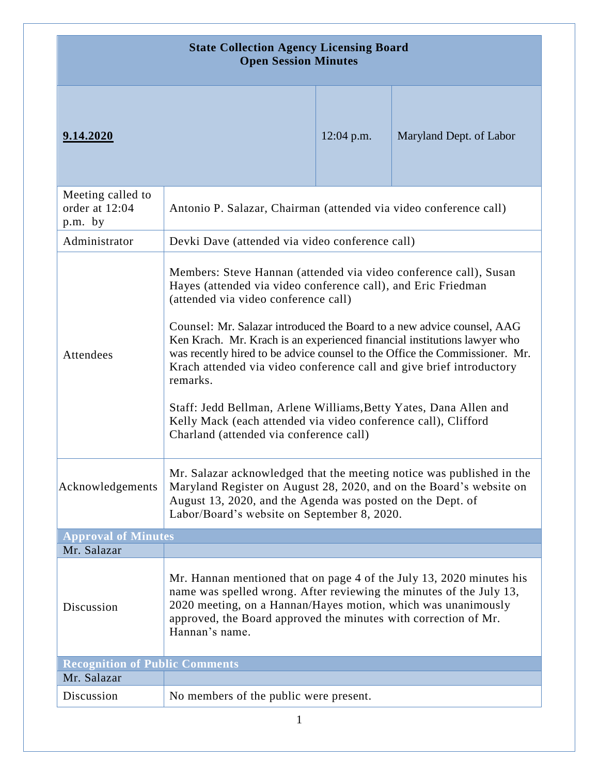| <b>State Collection Agency Licensing Board</b><br><b>Open Session Minutes</b> |                                                                                                                                                                                                                                                                                                                                                                                                                                                                                                                                                                                                                                                                                       |              |                         |
|-------------------------------------------------------------------------------|---------------------------------------------------------------------------------------------------------------------------------------------------------------------------------------------------------------------------------------------------------------------------------------------------------------------------------------------------------------------------------------------------------------------------------------------------------------------------------------------------------------------------------------------------------------------------------------------------------------------------------------------------------------------------------------|--------------|-------------------------|
| 9.14.2020                                                                     |                                                                                                                                                                                                                                                                                                                                                                                                                                                                                                                                                                                                                                                                                       | $12:04$ p.m. | Maryland Dept. of Labor |
| Meeting called to<br>order at 12:04<br>p.m. by                                | Antonio P. Salazar, Chairman (attended via video conference call)                                                                                                                                                                                                                                                                                                                                                                                                                                                                                                                                                                                                                     |              |                         |
| Administrator                                                                 | Devki Dave (attended via video conference call)                                                                                                                                                                                                                                                                                                                                                                                                                                                                                                                                                                                                                                       |              |                         |
| Attendees                                                                     | Members: Steve Hannan (attended via video conference call), Susan<br>Hayes (attended via video conference call), and Eric Friedman<br>(attended via video conference call)<br>Counsel: Mr. Salazar introduced the Board to a new advice counsel, AAG<br>Ken Krach. Mr. Krach is an experienced financial institutions lawyer who<br>was recently hired to be advice counsel to the Office the Commissioner. Mr.<br>Krach attended via video conference call and give brief introductory<br>remarks.<br>Staff: Jedd Bellman, Arlene Williams, Betty Yates, Dana Allen and<br>Kelly Mack (each attended via video conference call), Clifford<br>Charland (attended via conference call) |              |                         |
| Acknowledgements                                                              | Mr. Salazar acknowledged that the meeting notice was published in the<br>Maryland Register on August 28, 2020, and on the Board's website on<br>August 13, 2020, and the Agenda was posted on the Dept. of<br>Labor/Board's website on September 8, 2020.                                                                                                                                                                                                                                                                                                                                                                                                                             |              |                         |
| <b>Approval of Minutes</b><br>Mr. Salazar                                     |                                                                                                                                                                                                                                                                                                                                                                                                                                                                                                                                                                                                                                                                                       |              |                         |
|                                                                               |                                                                                                                                                                                                                                                                                                                                                                                                                                                                                                                                                                                                                                                                                       |              |                         |
| Discussion                                                                    | Mr. Hannan mentioned that on page 4 of the July 13, 2020 minutes his<br>name was spelled wrong. After reviewing the minutes of the July 13,<br>2020 meeting, on a Hannan/Hayes motion, which was unanimously<br>approved, the Board approved the minutes with correction of Mr.<br>Hannan's name.                                                                                                                                                                                                                                                                                                                                                                                     |              |                         |
| <b>Recognition of Public Comments</b>                                         |                                                                                                                                                                                                                                                                                                                                                                                                                                                                                                                                                                                                                                                                                       |              |                         |
| Mr. Salazar<br>Discussion                                                     | No members of the public were present.                                                                                                                                                                                                                                                                                                                                                                                                                                                                                                                                                                                                                                                |              |                         |
|                                                                               |                                                                                                                                                                                                                                                                                                                                                                                                                                                                                                                                                                                                                                                                                       |              |                         |

1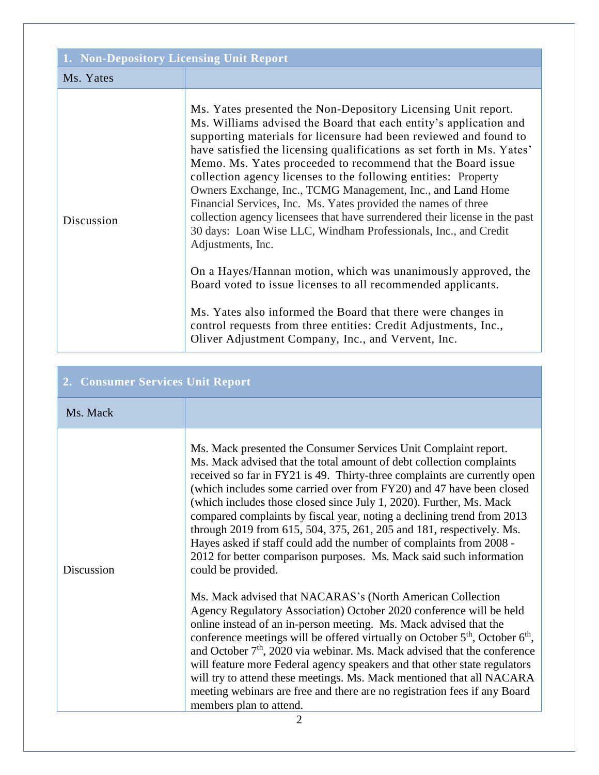| 1. Non-Depository Licensing Unit Report |                                                                                                                                                                                                                                                                                                                                                                                                                                                                                                                                                                                                                                                                                                                                                                                                                                                                                                                                                                                                                                                      |
|-----------------------------------------|------------------------------------------------------------------------------------------------------------------------------------------------------------------------------------------------------------------------------------------------------------------------------------------------------------------------------------------------------------------------------------------------------------------------------------------------------------------------------------------------------------------------------------------------------------------------------------------------------------------------------------------------------------------------------------------------------------------------------------------------------------------------------------------------------------------------------------------------------------------------------------------------------------------------------------------------------------------------------------------------------------------------------------------------------|
| Ms. Yates                               |                                                                                                                                                                                                                                                                                                                                                                                                                                                                                                                                                                                                                                                                                                                                                                                                                                                                                                                                                                                                                                                      |
| Discussion                              | Ms. Yates presented the Non-Depository Licensing Unit report.<br>Ms. Williams advised the Board that each entity's application and<br>supporting materials for licensure had been reviewed and found to<br>have satisfied the licensing qualifications as set forth in Ms. Yates'<br>Memo. Ms. Yates proceeded to recommend that the Board issue<br>collection agency licenses to the following entities: Property<br>Owners Exchange, Inc., TCMG Management, Inc., and Land Home<br>Financial Services, Inc. Ms. Yates provided the names of three<br>collection agency licensees that have surrendered their license in the past<br>30 days: Loan Wise LLC, Windham Professionals, Inc., and Credit<br>Adjustments, Inc.<br>On a Hayes/Hannan motion, which was unanimously approved, the<br>Board voted to issue licenses to all recommended applicants.<br>Ms. Yates also informed the Board that there were changes in<br>control requests from three entities: Credit Adjustments, Inc.,<br>Oliver Adjustment Company, Inc., and Vervent, Inc. |

## **2. Consumer Services Unit Report**

## Ms. Mack

| IVIS. IVIAUK |                                                                                                                                                                                                                                                                                                                                                                                                                                                                                                                                                                                                                                                                                           |
|--------------|-------------------------------------------------------------------------------------------------------------------------------------------------------------------------------------------------------------------------------------------------------------------------------------------------------------------------------------------------------------------------------------------------------------------------------------------------------------------------------------------------------------------------------------------------------------------------------------------------------------------------------------------------------------------------------------------|
| Discussion   | Ms. Mack presented the Consumer Services Unit Complaint report.<br>Ms. Mack advised that the total amount of debt collection complaints<br>received so far in FY21 is 49. Thirty-three complaints are currently open<br>(which includes some carried over from FY20) and 47 have been closed<br>(which includes those closed since July 1, 2020). Further, Ms. Mack<br>compared complaints by fiscal year, noting a declining trend from 2013<br>through 2019 from 615, 504, 375, 261, 205 and 181, respectively. Ms.<br>Hayes asked if staff could add the number of complaints from 2008 -<br>2012 for better comparison purposes. Ms. Mack said such information<br>could be provided. |
|              | Ms. Mack advised that NACARAS's (North American Collection<br>Agency Regulatory Association) October 2020 conference will be held<br>online instead of an in-person meeting. Ms. Mack advised that the<br>conference meetings will be offered virtually on October 5 <sup>th</sup> , October 6 <sup>th</sup> ,<br>and October 7 <sup>th</sup> , 2020 via webinar. Ms. Mack advised that the conference<br>will feature more Federal agency speakers and that other state regulators<br>will try to attend these meetings. Ms. Mack mentioned that all NACARA<br>meeting webinars are free and there are no registration fees if any Board<br>members plan to attend.                      |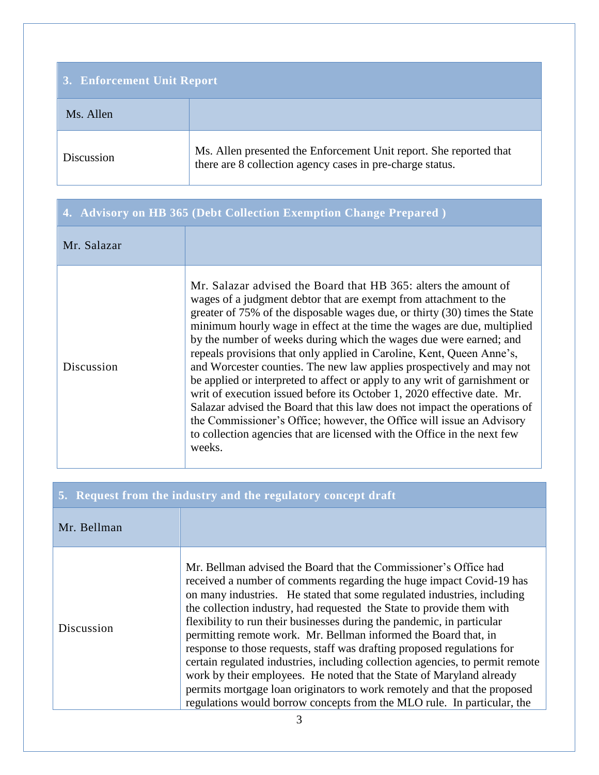| 3. Enforcement Unit Report |                                                                                                                                 |
|----------------------------|---------------------------------------------------------------------------------------------------------------------------------|
| Ms. Allen                  |                                                                                                                                 |
| Discussion                 | Ms. Allen presented the Enforcement Unit report. She reported that<br>there are 8 collection agency cases in pre-charge status. |

|             | 4. Advisory on HB 365 (Debt Collection Exemption Change Prepared)                                                                                                                                                                                                                                                                                                                                                                                                                                                                                                                                                                                                                                                                                                                                                                                                                                                          |
|-------------|----------------------------------------------------------------------------------------------------------------------------------------------------------------------------------------------------------------------------------------------------------------------------------------------------------------------------------------------------------------------------------------------------------------------------------------------------------------------------------------------------------------------------------------------------------------------------------------------------------------------------------------------------------------------------------------------------------------------------------------------------------------------------------------------------------------------------------------------------------------------------------------------------------------------------|
| Mr. Salazar |                                                                                                                                                                                                                                                                                                                                                                                                                                                                                                                                                                                                                                                                                                                                                                                                                                                                                                                            |
| Discussion  | Mr. Salazar advised the Board that HB 365: alters the amount of<br>wages of a judgment debtor that are exempt from attachment to the<br>greater of 75% of the disposable wages due, or thirty (30) times the State<br>minimum hourly wage in effect at the time the wages are due, multiplied<br>by the number of weeks during which the wages due were earned; and<br>repeals provisions that only applied in Caroline, Kent, Queen Anne's,<br>and Worcester counties. The new law applies prospectively and may not<br>be applied or interpreted to affect or apply to any writ of garnishment or<br>writ of execution issued before its October 1, 2020 effective date. Mr.<br>Salazar advised the Board that this law does not impact the operations of<br>the Commissioner's Office; however, the Office will issue an Advisory<br>to collection agencies that are licensed with the Office in the next few<br>weeks. |

| 5. Request from the industry and the regulatory concept draft |                                                                                                                                                                                                                                                                                                                                                                                                                                                                                                                                                                                                                                                                                                                                                                                                                                      |
|---------------------------------------------------------------|--------------------------------------------------------------------------------------------------------------------------------------------------------------------------------------------------------------------------------------------------------------------------------------------------------------------------------------------------------------------------------------------------------------------------------------------------------------------------------------------------------------------------------------------------------------------------------------------------------------------------------------------------------------------------------------------------------------------------------------------------------------------------------------------------------------------------------------|
| Mr. Bellman                                                   |                                                                                                                                                                                                                                                                                                                                                                                                                                                                                                                                                                                                                                                                                                                                                                                                                                      |
| Discussion                                                    | Mr. Bellman advised the Board that the Commissioner's Office had<br>received a number of comments regarding the huge impact Covid-19 has<br>on many industries. He stated that some regulated industries, including<br>the collection industry, had requested the State to provide them with<br>flexibility to run their businesses during the pandemic, in particular<br>permitting remote work. Mr. Bellman informed the Board that, in<br>response to those requests, staff was drafting proposed regulations for<br>certain regulated industries, including collection agencies, to permit remote<br>work by their employees. He noted that the State of Maryland already<br>permits mortgage loan originators to work remotely and that the proposed<br>regulations would borrow concepts from the MLO rule. In particular, the |